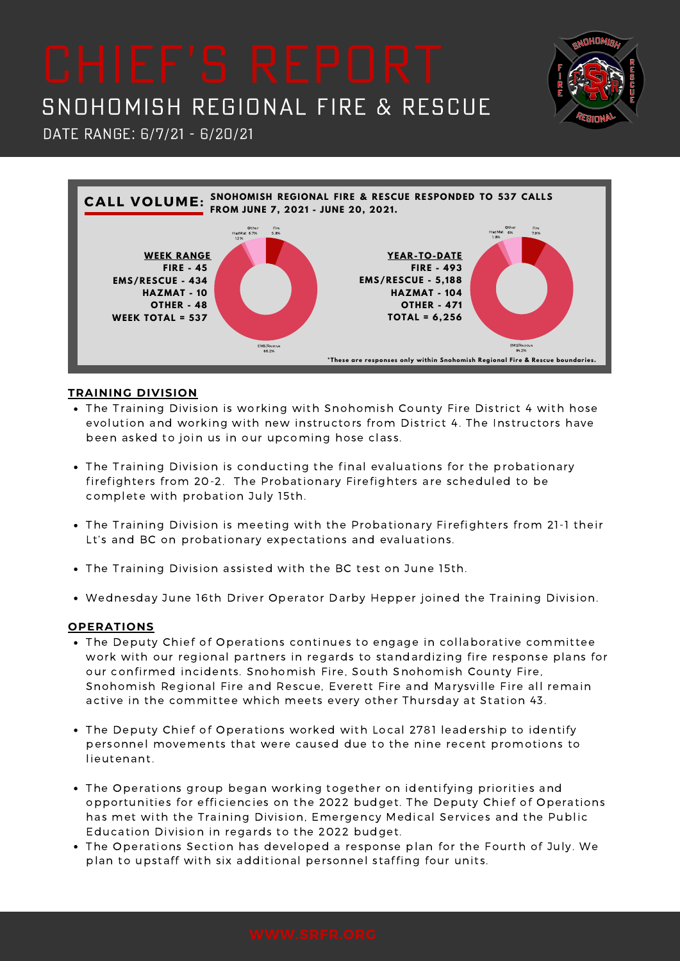# SNOHOMISH REGIONAL FIRE & RESCUE

DATE RANGE: 6/7/21 - 6/20/21



### **TRAINING DIVISION**

- The Training Division is working with Snohomish County Fire District 4 with hose evolution and working with new instructors from District 4. The Instructors have been asked to join us in our upcoming hose class.
- The Training Division is conducting the final evaluations for the probationary firefighters from 20-2. The Probationary Firefighters are scheduled to be complete with probation July 15th.
- The Training Division is meeting with the Probationary Firefighters from 21-1 their Lt's and BC on probationary expectations and evaluations.
- The Training Division assisted with the BC test on June 15th.
- Wednesday June 16th Driver Operator Darby Hepper joined the Training Division.

### **OPERATIONS**

- The Deputy Chief of Operations continues to engage in collaborative committee work with our regional partners in regards to standardizing fire response plans for our confirmed incidents. Snohomish Fire, South Snohomish County Fire, Snohomish Regional Fire and Rescue, Everett Fire and Marysville Fire all remain active in the committee which meets every other Thursday at Station 43.
- The Deputy Chief of Operations worked with Local 2781 leadership to identify personnel movements that were caused due to the nine recent promotions to lieutenant.
- The Operations group began working together on identifying priorities and opportunities for efficiencies on the 2022 budget. The Deputy Chief of Operations has met with the Training Division, Emergency Medical Services and the Public Education Division in regards to the 2022 budget.
- The Operations Section has developed a response plan for the Fourth of July. We plan to upstaff with six additional personnel staffing four units.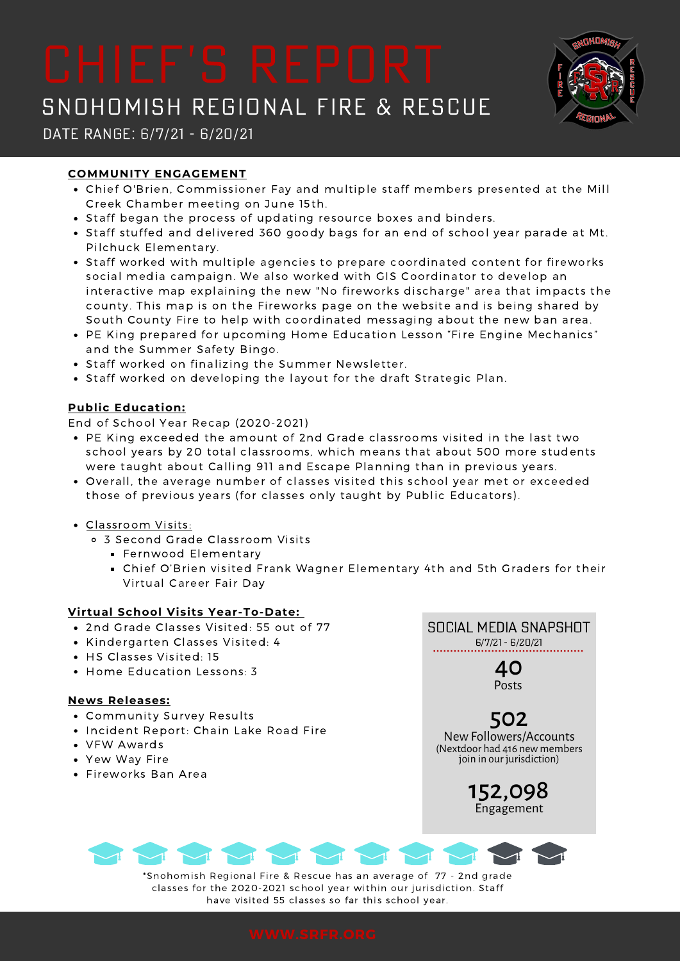# SNOHOMISH REGIONAL FIRE & RESCUE



## Date Range: 6/7/21 - 6/20/21

### **COMMUNITY ENGAGEMENT**

- Chief O'Brien, Commissioner Fay and multiple staff members presented at the Mill Creek Chamber meeting on June 15th.
- Staff began the process of updating resource boxes and binders.
- Staff stuffed and delivered 360 goody bags for an end of school year parade at Mt. Pilchuck Elementary.
- Staff worked with multiple agencies to prepare coordinated content for fireworks social media campaign. We also worked with GIS Coordinator to develop an interactive map explaining the new "No fireworks discharge" area that impacts the county. This map is on the Fireworks page on the website and is being shared by South County Fire to help with coordinated messaging about the new ban area.
- PE King prepared for upcoming Home Education Lesson "Fire Engine Mechanics" and the Summer Safety Bingo.
- Staff worked on finalizing the Summer Newsletter.
- Staff worked on developing the layout for the draft Strategic Plan.

### **Public Education:**

End of School Year Recap (2020-2021)

- PE King exceeded the amount of 2nd Grade classrooms visited in the last two school years by 20 total classrooms, which means that about 500 more students were taught about Calling 911 and Escape Planning than in previous years.
- Overall, the average number of classes visited this school year met or exceeded those of previous years (for classes only taught by Public Educators).
- Classroom Visits:
	- 3 Second Grade Classroom Visits
		- **Fernwood Elementary**
		- Chief O'Brien visited Frank Wagner Elementary 4th and 5th Graders for their Virtual Career Fair Day

### **Virtual School Visits Year-To-Date:**

- 2nd Grade Classes Visited: 55 out of 77
- Kindergarten Classes Visited: 4
- HS Classes Visited: 15
- Home Education Lessons: 3

### **News Releases:**

- Community Survey Results
- Incident Report: Chain Lake Road Fire
- VFW Awards
- Yew Way Fire
- Fireworks Ban Area



## 502 NewFollowers/Accounts

(Nextdoor had 416 new members join in our jurisdiction)

> 152,098 Engagement

\*Snohomish Regional Fire & Rescue has an average of 77 - 2nd grade classes for the 2020-2021 school year within our jurisdiction. Staff have visited 55 classes so far this school year.